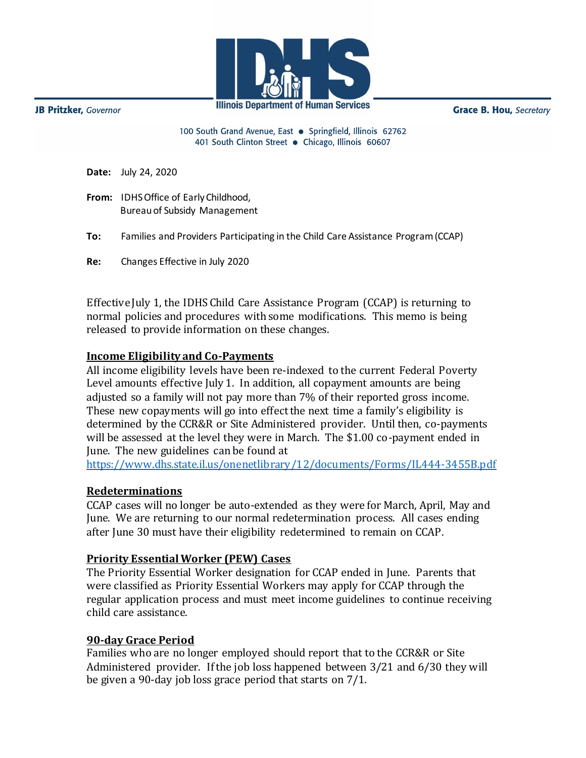

**Illinois Department of Human Services** 

**Grace B. Hou, Secretary** 

100 South Grand Avenue, East . Springfield, Illinois 62762 401 South Clinton Street · Chicago, Illinois 60607

**Date:** July 24, 2020 **From:** IDHS Office of Early Childhood, Bureauof Subsidy Management **To:** Families and Providers Participating in the Child Care Assistance Program (CCAP) **Re:** Changes Effective in July 2020

Effective July 1, the IDHS Child Care Assistance Program (CCAP) is returning to normal policies and procedures with some modifications. This memo is being released to provide information on these changes.

# **Income Eligibility and Co-Payments**

All income eligibility levels have been re-indexed to the current Federal Poverty Level amounts effective July 1. In addition, all copayment amounts are being adjusted so a family will not pay more than 7% of their reported gross income. These new copayments will go into effect the next time a family's eligibility is determined by the CCR&R or Site Administered provider. Until then, co-payments will be assessed at the level they were in March. The \$1.00 co-payment ended in June. The new guidelines can be found at

<https://www.dhs.state.il.us/onenetlibrary/12/documents/Forms/IL444-3455B.pdf>

### **Redeterminations**

CCAP cases will no longer be auto-extended as they were for March, April, May and June. We are returning to our normal redetermination process. All cases ending after June 30 must have their eligibility redetermined to remain on CCAP.

### **Priority Essential Worker (PEW) Cases**

The Priority Essential Worker designation for CCAP ended in June. Parents that were classified as Priority Essential Workers may apply for CCAP through the regular application process and must meet income guidelines to continue receiving child care assistance.

### **90-day Grace Period**

Families who are no longer employed should report that to the CCR&R or Site Administered provider. If the job loss happened between 3/21 and 6/30 they will be given a 90-day job loss grace period that starts on 7/1.

JB Pritzker, Governor